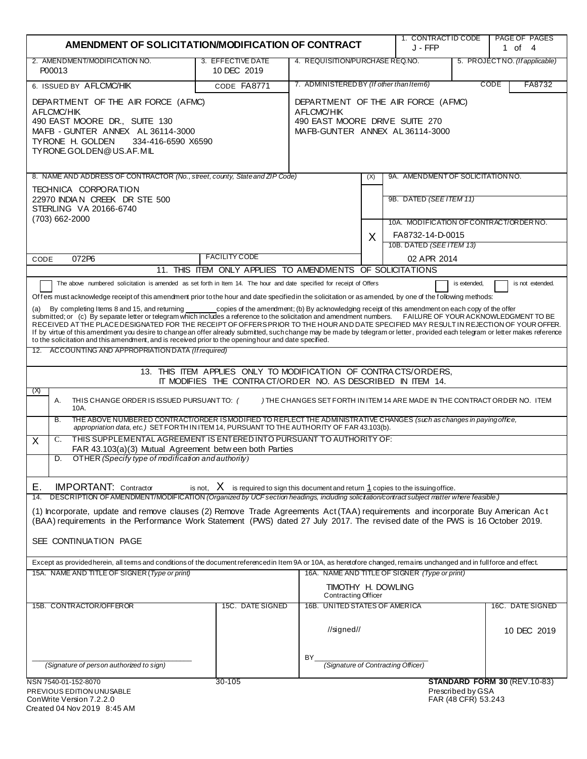| AMENDMENT OF SOLICITATION/MODIFICATION OF CONTRACT                                                                                                                                                                                                                                                                                                                                                                                                                                                                                                                                                                                                                                                                                                                                                                                                                                                                                                                                                                                                                                                                                                                                                                                                                                                                                                                                                                                                                                                                                                                                                                                             |                                                                                                                      |                                             |                                                  | 1. CONTRACT ID CODE<br>J - FFP     |                                                                                                                    | <b>PAGE OF PAGES</b><br>1 of 4  |  |
|------------------------------------------------------------------------------------------------------------------------------------------------------------------------------------------------------------------------------------------------------------------------------------------------------------------------------------------------------------------------------------------------------------------------------------------------------------------------------------------------------------------------------------------------------------------------------------------------------------------------------------------------------------------------------------------------------------------------------------------------------------------------------------------------------------------------------------------------------------------------------------------------------------------------------------------------------------------------------------------------------------------------------------------------------------------------------------------------------------------------------------------------------------------------------------------------------------------------------------------------------------------------------------------------------------------------------------------------------------------------------------------------------------------------------------------------------------------------------------------------------------------------------------------------------------------------------------------------------------------------------------------------|----------------------------------------------------------------------------------------------------------------------|---------------------------------------------|--------------------------------------------------|------------------------------------|--------------------------------------------------------------------------------------------------------------------|---------------------------------|--|
| 2. AMENDMENT/MODIFICATION NO.<br>P00013                                                                                                                                                                                                                                                                                                                                                                                                                                                                                                                                                                                                                                                                                                                                                                                                                                                                                                                                                                                                                                                                                                                                                                                                                                                                                                                                                                                                                                                                                                                                                                                                        | 3. EFFECTIVE DATE<br>10 DEC 2019                                                                                     | 4. REQUISITION/PURCHASE REQ.NO.             |                                                  |                                    | 5. PROJECTNO. (If applicable)                                                                                      |                                 |  |
| 6. ISSUED BY AFLCMC/HIK                                                                                                                                                                                                                                                                                                                                                                                                                                                                                                                                                                                                                                                                                                                                                                                                                                                                                                                                                                                                                                                                                                                                                                                                                                                                                                                                                                                                                                                                                                                                                                                                                        | CODE FA8771                                                                                                          | 7. ADMINISTERED BY (If other than Item6)    |                                                  |                                    | CODE<br>FA8732                                                                                                     |                                 |  |
| DEPARTMENT OF THE AIR FORCE (AFMC)<br>AFLCMC/HIK<br>490 EAST MOORE DR., SUITE 130<br>MAFB - GUNTER ANNEX AL 36114-3000<br>TYRONE H. GOLDEN<br>334-416-6590 X6590<br>TY RONE. GOLDEN@US.AF.MIL                                                                                                                                                                                                                                                                                                                                                                                                                                                                                                                                                                                                                                                                                                                                                                                                                                                                                                                                                                                                                                                                                                                                                                                                                                                                                                                                                                                                                                                  | DEPARTMENT OF THE AIR FORCE (AFMC)<br>AFLCMC/HIK<br>490 EAST MOORE DRIVE SUITE 270<br>MAFB-GUNTER ANNEX AL36114-3000 |                                             |                                                  |                                    |                                                                                                                    |                                 |  |
| 8. NAME AND ADDRESS OF CONTRACTOR (No., street, county, State and ZIP Code)                                                                                                                                                                                                                                                                                                                                                                                                                                                                                                                                                                                                                                                                                                                                                                                                                                                                                                                                                                                                                                                                                                                                                                                                                                                                                                                                                                                                                                                                                                                                                                    |                                                                                                                      |                                             | (X)                                              | 9A. AMENDMENT OF SOLICITATION NO.  |                                                                                                                    |                                 |  |
| TECHNICA CORPORATION<br>22970 INDIAN CREEK DR STE 500<br>STERLING VA 20166-6740<br>(703) 662-2000<br><b>FACILITY CODE</b><br>072P6<br>CODE                                                                                                                                                                                                                                                                                                                                                                                                                                                                                                                                                                                                                                                                                                                                                                                                                                                                                                                                                                                                                                                                                                                                                                                                                                                                                                                                                                                                                                                                                                     |                                                                                                                      |                                             | X                                                |                                    | 9B. DATED (SEE ITEM 11)<br>10A. MODIFICATION OF CONTRACT/ORDER NO.<br>FA8732-14-D-0015<br>10B. DATED (SEE ITEM 13) |                                 |  |
|                                                                                                                                                                                                                                                                                                                                                                                                                                                                                                                                                                                                                                                                                                                                                                                                                                                                                                                                                                                                                                                                                                                                                                                                                                                                                                                                                                                                                                                                                                                                                                                                                                                |                                                                                                                      |                                             |                                                  | 02 APR 2014                        |                                                                                                                    |                                 |  |
| 11. THIS ITEM ONLY APPLIES TO AMENDMENTS OF SOLICITATIONS                                                                                                                                                                                                                                                                                                                                                                                                                                                                                                                                                                                                                                                                                                                                                                                                                                                                                                                                                                                                                                                                                                                                                                                                                                                                                                                                                                                                                                                                                                                                                                                      |                                                                                                                      |                                             |                                                  |                                    |                                                                                                                    |                                 |  |
| Offers must acknowledge receipt of this amendment prior to the hour and date specified in the solicitation or as amended, by one of the following methods:<br>copies of the amendment; (b) By acknowledging receipt of this amendment on each copy of the offer<br>By completing Items 8 and 15, and returning<br>(a)<br>submitted; or (c) By separate letter or telegram which includes a reference to the solicitation and amendment numbers. FAILURE OF YOUR ACKNOWLEDGMENT TO BE<br>RECEIVED AT THE PLACE DESIGNATED FOR THE RECEIPT OF OFFERS PRIOR TO THE HOUR AND DATE SPECIFIED MAY RESULT IN REJECTION OF YOUR OFFER.<br>If by virtue of this amendment you desire to change an offer already submitted, such change may be made by telegram or letter, provided each telegram or letter makes reference<br>to the solicitation and this amendment, and is received prior to the opening hour and date specified.<br>12. ACCOUNTING AND APPROPRIATION DATA (If required)<br>13. THIS ITEM APPLIES ONLY TO MODIFICATION OF CONTRACTS/ORDERS,<br>IT MODIFIES THE CONTRACT/ORDER NO. AS DESCRIBED IN ITEM 14.<br>(X)<br>Α.<br>THIS CHANGE ORDER IS ISSUED PURSUANT TO: (<br>) THE CHANGES SET FORTH IN ITEM 14 ARE MADE IN THE CONTRACT ORDER NO. ITEM<br>10A.<br>THE ABOVE NUMBERED CONTRACT/ORDER ISMODIFIED TO REFLECT THE ADMINISTRATIVE CHANGES (such as changes in paying office,<br>B.<br>appropriation data, etc.) SET FORTHINITEM 14, PURSUANT TO THE AUTHORITY OF FAR 43.103(b).<br>THIS SUPPLEMENTAL AGREEMENT IS ENTERED INTO PURSUANT TO AUTHORITY OF:<br>C.<br>X<br>FAR 43.103(a)(3) Mutual Agreement between both Parties |                                                                                                                      |                                             |                                                  |                                    |                                                                                                                    |                                 |  |
| OTHER (Specify type of modification and authority)<br>D.                                                                                                                                                                                                                                                                                                                                                                                                                                                                                                                                                                                                                                                                                                                                                                                                                                                                                                                                                                                                                                                                                                                                                                                                                                                                                                                                                                                                                                                                                                                                                                                       |                                                                                                                      |                                             |                                                  |                                    |                                                                                                                    |                                 |  |
| Ε.<br><b>IMPORTANT:</b> Contractor<br>is not, $X$ is required to sign this document and return 1 copies to the issuing office.<br>14. DESCRIPTION OF AMENDMENT/MODIFICATION (Organized by UCF section headings, including solicitation/contract subject matter where feasible.)<br>(1) Incorporate, update and remove clauses (2) Remove Trade Agreements Act (TAA) requirements and incorporate Buy American Act<br>(BAA) requirements in the Performance Work Statement (PWS) dated 27 July 2017. The revised date of the PWS is 16 October 2019.<br>SEE CONTINUATION PAGE<br>Except as provided herein, all terms and conditions of the document referenced in Item 9A or 10A, as heretofore changed, remains unchanged and in full force and effect.<br>15A. NAME AND TITLE OF SIGNER (Type or print)<br>16A. NAME AND TITLE OF SIGNER (Type or print)                                                                                                                                                                                                                                                                                                                                                                                                                                                                                                                                                                                                                                                                                                                                                                                     |                                                                                                                      |                                             |                                                  |                                    |                                                                                                                    |                                 |  |
|                                                                                                                                                                                                                                                                                                                                                                                                                                                                                                                                                                                                                                                                                                                                                                                                                                                                                                                                                                                                                                                                                                                                                                                                                                                                                                                                                                                                                                                                                                                                                                                                                                                |                                                                                                                      |                                             | TIMOTHY H. DOWLING<br><b>Contracting Officer</b> |                                    |                                                                                                                    |                                 |  |
| 15B. CONTRACTOR/OFFEROR                                                                                                                                                                                                                                                                                                                                                                                                                                                                                                                                                                                                                                                                                                                                                                                                                                                                                                                                                                                                                                                                                                                                                                                                                                                                                                                                                                                                                                                                                                                                                                                                                        | 15C. DATE SIGNED                                                                                                     | 16B. UNITED STATES OF AMERICA<br>//signed// |                                                  |                                    |                                                                                                                    | 16C. DATE SIGNED<br>10 DEC 2019 |  |
| (Signature of person authorized to sign)                                                                                                                                                                                                                                                                                                                                                                                                                                                                                                                                                                                                                                                                                                                                                                                                                                                                                                                                                                                                                                                                                                                                                                                                                                                                                                                                                                                                                                                                                                                                                                                                       |                                                                                                                      | BY                                          |                                                  | (Signature of Contracting Officer) |                                                                                                                    |                                 |  |
| NSN 7540-01-152-8070<br>PREVIOUS EDITION UNUSABLE<br>ConWrite Version 7.2.2.0<br>Created 04 Nov 2019 8:45 AM                                                                                                                                                                                                                                                                                                                                                                                                                                                                                                                                                                                                                                                                                                                                                                                                                                                                                                                                                                                                                                                                                                                                                                                                                                                                                                                                                                                                                                                                                                                                   | 30-105                                                                                                               |                                             |                                                  |                                    | Prescribed by GSA<br>FAR (48 CFR) 53.243                                                                           | STANDARD FORM 30 (REV.10-83)    |  |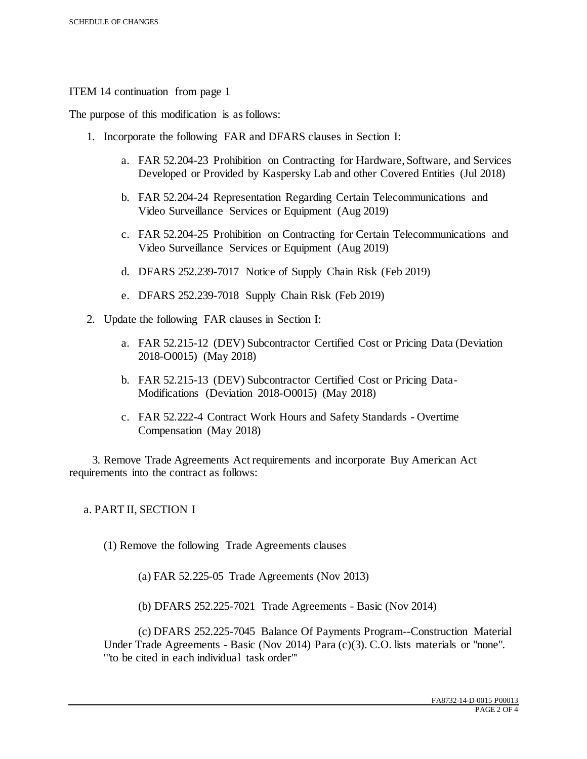ITEM 14 continuation from page 1

The purpose of this modification is as follows:

- 1. Incorporate the following FAR and DFARS clauses in Section I:
	- a. FAR 52.204-23 Prohibition on Contracting for Hardware, Software, and Services Developed or Provided by Kaspersky Lab and other Covered Entities (Jul 2018)
	- b. FAR 52.204-24 Representation Regarding Certain Telecommunications and Video Surveillance Services or Equipment (Aug 2019)
	- c. FAR 52.204-25 Prohibition on Contracting for Certain Telecommunications and Video Surveillance Services or Equipment (Aug 2019)
	- d. DFARS 252.239-7017 Notice of Supply Chain Risk (Feb 2019)
	- e. DFARS 252.239-7018 Supply Chain Risk (Feb 2019)
- 2. Update the following FAR clauses in Section I:
	- a. FAR 52.215-12 (DEV) Subcontractor Certified Cost or Pricing Data (Deviation 2018-O0015) (May 2018)
	- b. FAR 52.215-13 (DEV) Subcontractor Certified Cost or Pricing Data-Modifications (Deviation 2018-O0015) (May 2018)
	- c. FAR 52.222-4 Contract Work Hours and Safety Standards Overtime Compensation (May 2018)

 3. Remove Trade Agreements Act requirements and incorporate Buy American Act requirements into the contract as follows:

a. PART II, SECTION I

(1) Remove the following Trade Agreements clauses

(a) FAR 52.225-05 Trade Agreements (Nov 2013)

(b) DFARS 252.225-7021 Trade Agreements - Basic (Nov 2014)

(c) DFARS 252.225-7045 Balance Of Payments Program--Construction Material Under Trade Agreements - Basic (Nov 2014) Para (c)(3). C.O. lists materials or "none". '"to be cited in each individual task order"'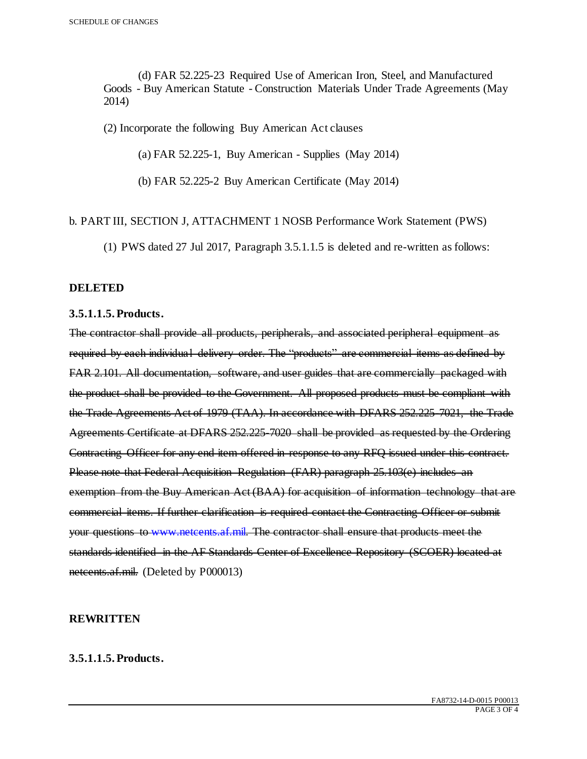(d) FAR 52.225-23 Required Use of American Iron, Steel, and Manufactured Goods - Buy American Statute - Construction Materials Under Trade Agreements (May 2014)

(2) Incorporate the following Buy American Act clauses

(a) FAR 52.225-1, Buy American - Supplies (May 2014)

(b) FAR 52.225-2 Buy American Certificate (May 2014)

## b. PART III, SECTION J, ATTACHMENT 1 NOSB Performance Work Statement (PWS)

(1) PWS dated 27 Jul 2017, Paragraph 3.5.1.1.5 is deleted and re-written as follows:

## **DELETED**

#### **3.5.1.1.5. Products.**

The contractor shall provide all products, peripherals, and associated peripheral equipment as required by each individual delivery order. The "products" are commercial items as defined by FAR 2.101. All documentation, software, and user guides that are commercially packaged with the product shall be provided to the Government. All proposed products must be compliant with the Trade Agreements Act of 1979 (TAA). In accordance with DFARS 252.225-7021, the Trade Agreements Certificate at DFARS 252.225-7020 shall be provided as requested by the Ordering Contracting Officer for any end item offered in response to any RFQ issued under this contract. Please note that Federal Acquisition Regulation (FAR) paragraph 25.103(e) includes an exemption from the Buy American Act (BAA) for acquisition of information technology that are commercial items. If further clarification is required contact the Contracting Officer or submit your questions to www.netcents.af.mil. The contractor shall ensure that products meet the standards identified in the AF Standards Center of Excellence Repository (SCOER) located at netcents.af.mil. (Deleted by P000013)

### **REWRITTEN**

# **3.5.1.1.5. Products.**